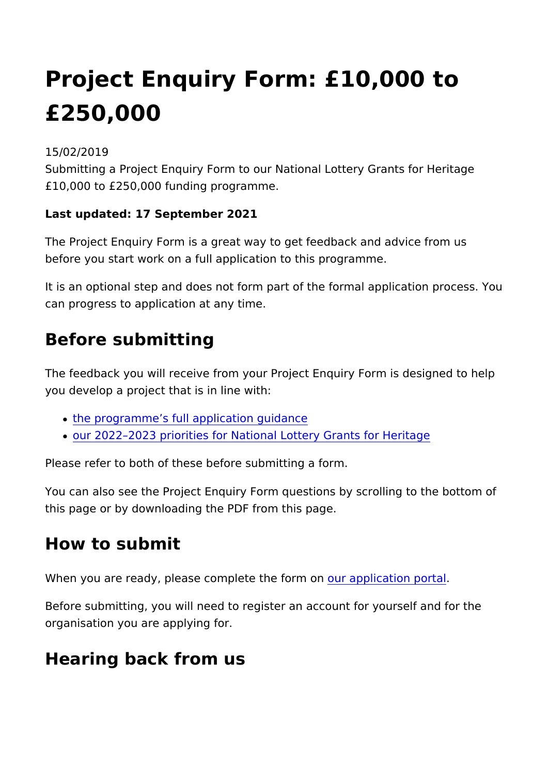# Project Enquiry Form: £10,000 to £250,000

15/02/2019

Submitting a Project Enquiry Form to our National Lottery Grant £10,000 to £250,000 funding programme.

Last updated: 17 September 2021

The Project Enquiry Form is a great way to get feedback and ad before you start work on a full application to this programme.

It is an optional step and does not form part of the formal appli can progress to application at any time.

## Before submitting

The feedback you will receive from your Project Enquiry Form is you develop a project that is in line with:

- [the programme s full applicati](https://www.heritagefund.org.uk/funding/national-lottery-grants-heritage-10k-250k/receiving-grant-250k)on guidance
- . [our 2022 2023 priorities for National Lottery](https://www.heritagefund.org.uk/funding/priorities-national-lottery-grants-heritage) Grants for Heri

Please refer to both of these before submitting a form.

You can also see the Project Enquiry Form questions by scrolling this page or by downloading the PDF from this page.

#### How to submit

When you are ready, please completeuth appoolimation portal

Before submitting, you will need to register an account for your organisation you are applying for.

#### Hearing back from us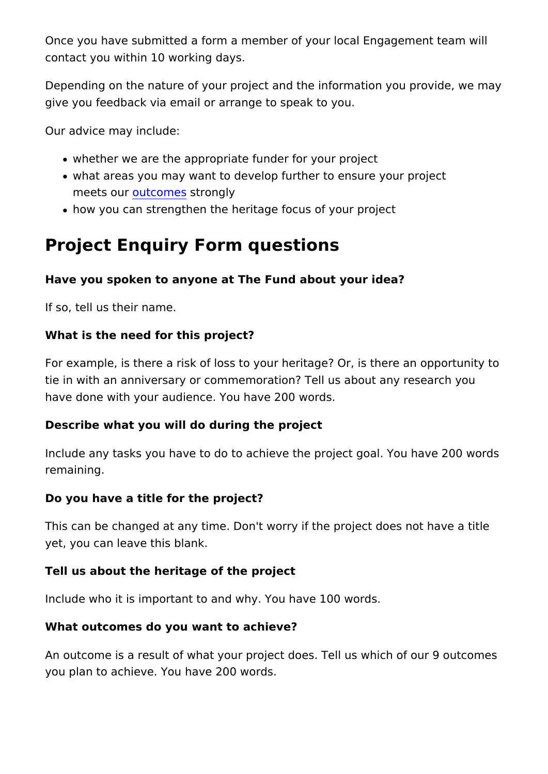Once you have submitted a form a member of your local Engage contact you within 10 working days.

Depending on the nature of your project and the information you give you feedback via email or arrange to speak to you.

Our advice may include:

- whether we are the appropriate funder for your project
- what areas you may want to develop further to ensure your p meets ouutcomesstrongly
- how you can strengthen the heritage focus of your project

### Project Enquiry Form questions

Have you spoken to anyone at The Fund about your idea?

If so, tell us their name.

What is the need for this project?

For example, is there a risk of loss to your heritage? Or, is the tie in with an anniversary or commemoration? Tell us about any have done with your audience. You have 200 words.

Describe what you will do during the project

Include any tasks you have to do to achieve the project goal. Y remaining.

Do you have a title for the project?

This can be changed at any time. Don't worry if the project doe yet, you can leave this blank.

Tell us about the heritage of the project

Include who it is important to and why. You have 100 words.

What outcomes do you want to achieve?

An outcome is a result of what your project does. Tell us which you plan to achieve. You have 200 words.